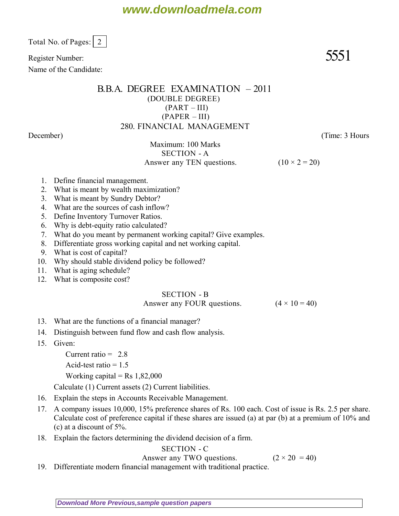Total No. of Pages: 2

Register Number:  $5551$ 

Name of the Candidate:

## B.B.A. DEGREE EXAMINATION – 2011 (DOUBLE DEGREE)  $(PART - III)$ (PAPER – III) 280. FINANCIAL MANAGEMENT

*December*) (*Time: 3 Hours*

Maximum: 100 Marks SECTION - A Answer any TEN questions. ( $10 \times 2 = 20$ )

- 1. Define financial management.
- 2. What is meant by wealth maximization?
- 3. What is meant by Sundry Debtor?
- 4. What are the sources of cash inflow?
- 5. Define Inventory Turnover Ratios.
- 6. Why is debt-equity ratio calculated?
- 7. What do you meant by permanent working capital? Give examples.
- 8. Differentiate gross working capital and net working capital.
- 9. What is cost of capital?
- 10. Why should stable dividend policy be followed?
- 11. What is aging schedule?
- 12. What is composite cost?

## SECTION - B

Answer any FOUR questions.  $(4 \times 10 = 40)$ 

- 13. What are the functions of a financial manager?
- 14. Distinguish between fund flow and cash flow analysis.
- 15. Given:
	- Current ratio  $= 2.8$
	- Acid-test ratio  $= 1.5$

Working capital = Rs  $1,82,000$ 

Calculate (1) Current assets (2) Current liabilities.

- 16. Explain the steps in Accounts Receivable Management.
- 17. A company issues 10,000, 15% preference shares of Rs. 100 each. Cost of issue is Rs. 2.5 per share. Calculate cost of preference capital if these shares are issued (a) at par (b) at a premium of 10% and (c) at a discount of 5%.
- 18. Explain the factors determining the dividend decision of a firm.

SECTION - C Answer any TWO questions.  $(2 \times 20 = 40)$ 

19. Differentiate modern financial management with traditional practice.